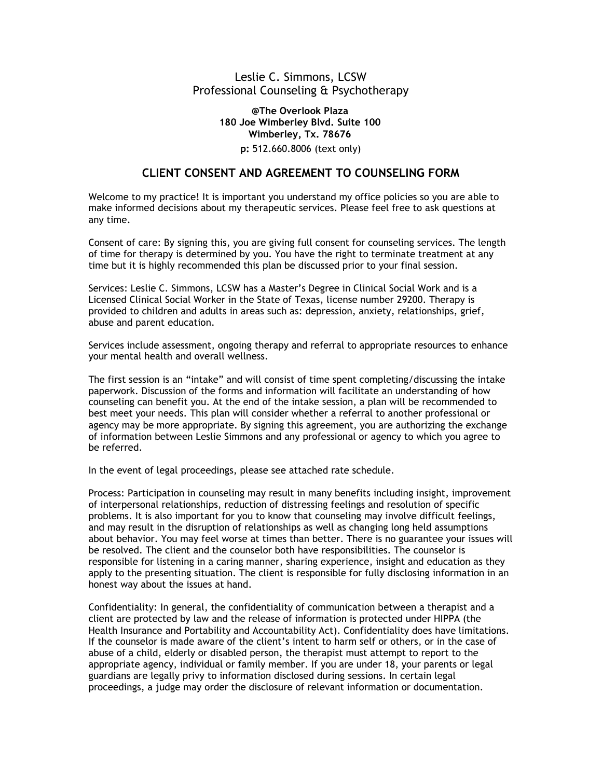# Leslie C. Simmons, LCSW Professional Counseling & Psychotherapy

### **@The Overlook Plaza 180 Joe Wimberley Blvd. Suite 100 Wimberley, Tx. 78676**

### **p:** 512.660.8006 (text only)

## **CLIENT CONSENT AND AGREEMENT TO COUNSELING FORM**

Welcome to my practice! It is important you understand my office policies so you are able to make informed decisions about my therapeutic services. Please feel free to ask questions at any time.

Consent of care: By signing this, you are giving full consent for counseling services. The length of time for therapy is determined by you. You have the right to terminate treatment at any time but it is highly recommended this plan be discussed prior to your final session.

Services: Leslie C. Simmons, LCSW has a Master's Degree in Clinical Social Work and is a Licensed Clinical Social Worker in the State of Texas, license number 29200. Therapy is provided to children and adults in areas such as: depression, anxiety, relationships, grief, abuse and parent education.

Services include assessment, ongoing therapy and referral to appropriate resources to enhance your mental health and overall wellness.

The first session is an "intake" and will consist of time spent completing/discussing the intake paperwork. Discussion of the forms and information will facilitate an understanding of how counseling can benefit you. At the end of the intake session, a plan will be recommended to best meet your needs. This plan will consider whether a referral to another professional or agency may be more appropriate. By signing this agreement, you are authorizing the exchange of information between Leslie Simmons and any professional or agency to which you agree to be referred.

In the event of legal proceedings, please see attached rate schedule.

Process: Participation in counseling may result in many benefits including insight, improvement of interpersonal relationships, reduction of distressing feelings and resolution of specific problems. It is also important for you to know that counseling may involve difficult feelings, and may result in the disruption of relationships as well as changing long held assumptions about behavior. You may feel worse at times than better. There is no guarantee your issues will be resolved. The client and the counselor both have responsibilities. The counselor is responsible for listening in a caring manner, sharing experience, insight and education as they apply to the presenting situation. The client is responsible for fully disclosing information in an honest way about the issues at hand.

Confidentiality: In general, the confidentiality of communication between a therapist and a client are protected by law and the release of information is protected under HIPPA (the Health Insurance and Portability and Accountability Act). Confidentiality does have limitations. If the counselor is made aware of the client's intent to harm self or others, or in the case of abuse of a child, elderly or disabled person, the therapist must attempt to report to the appropriate agency, individual or family member. If you are under 18, your parents or legal guardians are legally privy to information disclosed during sessions. In certain legal proceedings, a judge may order the disclosure of relevant information or documentation.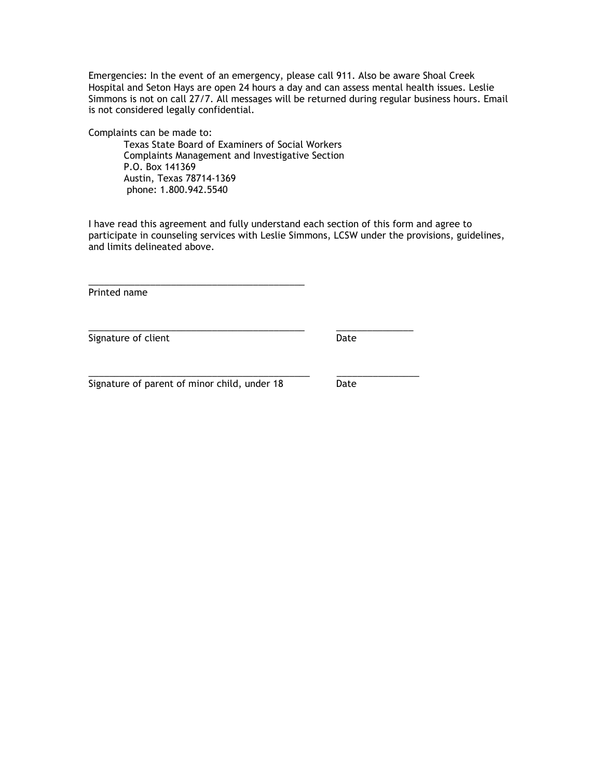Emergencies: In the event of an emergency, please call 911. Also be aware Shoal Creek Hospital and Seton Hays are open 24 hours a day and can assess mental health issues. Leslie Simmons is not on call 27/7. All messages will be returned during regular business hours. Email is not considered legally confidential.

Complaints can be made to:

Texas State Board of Examiners of Social Workers Complaints Management and Investigative Section P.O. Box 141369 Austin, Texas 78714-1369 phone: 1.800.942.5540

\_\_\_\_\_\_\_\_\_\_\_\_\_\_\_\_\_\_\_\_\_\_\_\_\_\_\_\_\_\_\_\_\_\_\_\_\_\_\_\_\_\_ \_\_\_\_\_\_\_\_\_\_\_\_\_\_\_

\_\_\_\_\_\_\_\_\_\_\_\_\_\_\_\_\_\_\_\_\_\_\_\_\_\_\_\_\_\_\_\_\_\_\_\_\_\_\_\_\_\_\_ \_\_\_\_\_\_\_\_\_\_\_\_\_\_\_\_

I have read this agreement and fully understand each section of this form and agree to participate in counseling services with Leslie Simmons, LCSW under the provisions, guidelines, and limits delineated above.

Printed name

Signature of client Date Date

Signature of parent of minor child, under 18 Date

\_\_\_\_\_\_\_\_\_\_\_\_\_\_\_\_\_\_\_\_\_\_\_\_\_\_\_\_\_\_\_\_\_\_\_\_\_\_\_\_\_\_